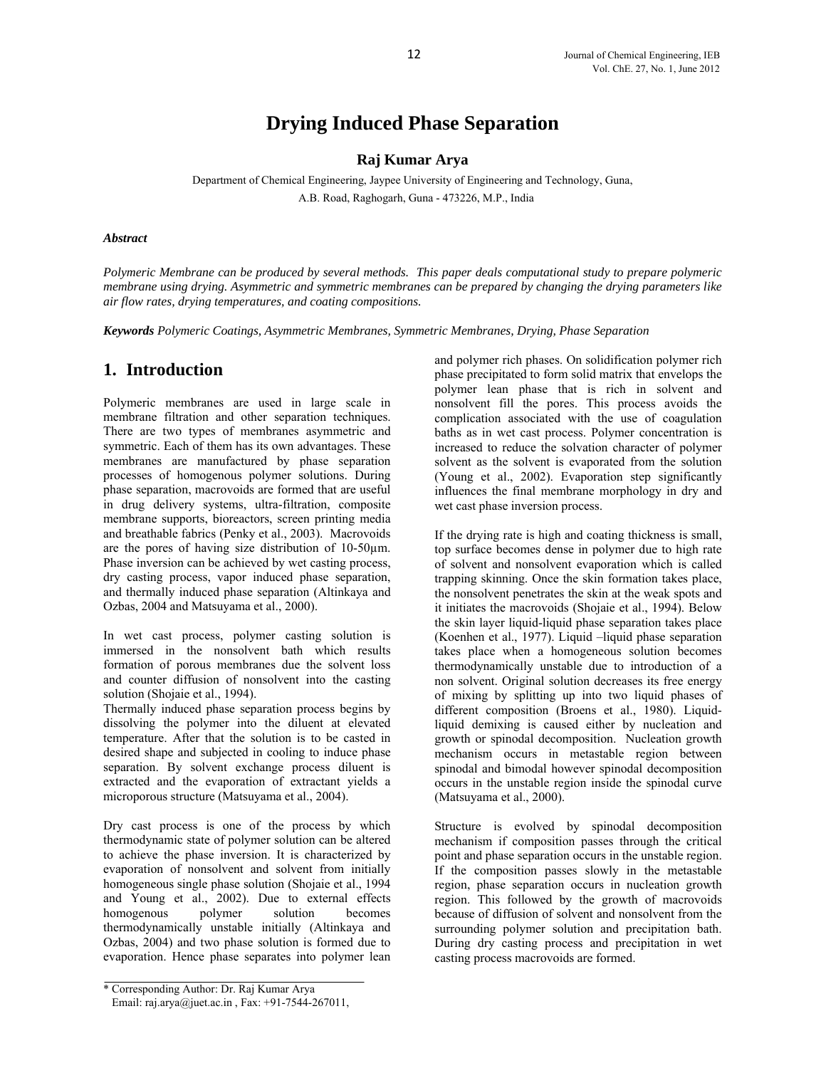# **Drying Induced Phase Separation**

## **Raj Kumar Arya**

Department of Chemical Engineering, Jaypee University of Engineering and Technology, Guna, A.B. Road, Raghogarh, Guna - 473226, M.P., India

#### *Abstract*

*Polymeric Membrane can be produced by several methods. This paper deals computational study to prepare polymeric membrane using drying. Asymmetric and symmetric membranes can be prepared by changing the drying parameters like air flow rates, drying temperatures, and coating compositions.* 

*Keywords Polymeric Coatings, Asymmetric Membranes, Symmetric Membranes, Drying, Phase Separation*

# **1. Introduction**

Polymeric membranes are used in large scale in membrane filtration and other separation techniques. There are two types of membranes asymmetric and symmetric. Each of them has its own advantages. These membranes are manufactured by phase separation processes of homogenous polymer solutions. During phase separation, macrovoids are formed that are useful in drug delivery systems, ultra-filtration, composite membrane supports, bioreactors, screen printing media and breathable fabrics (Penky et al., 2003). Macrovoids are the pores of having size distribution of 10-50µm. Phase inversion can be achieved by wet casting process, dry casting process, vapor induced phase separation, and thermally induced phase separation (Altinkaya and Ozbas, 2004 and Matsuyama et al., 2000).

In wet cast process, polymer casting solution is immersed in the nonsolvent bath which results formation of porous membranes due the solvent loss and counter diffusion of nonsolvent into the casting solution (Shojaie et al., 1994).

Thermally induced phase separation process begins by dissolving the polymer into the diluent at elevated temperature. After that the solution is to be casted in desired shape and subjected in cooling to induce phase separation. By solvent exchange process diluent is extracted and the evaporation of extractant yields a microporous structure (Matsuyama et al., 2004).

Dry cast process is one of the process by which thermodynamic state of polymer solution can be altered to achieve the phase inversion. It is characterized by evaporation of nonsolvent and solvent from initially homogeneous single phase solution (Shojaie et al., 1994 and Young et al., 2002). Due to external effects homogenous polymer solution becomes thermodynamically unstable initially (Altinkaya and Ozbas, 2004) and two phase solution is formed due to evaporation. Hence phase separates into polymer lean

and polymer rich phases. On solidification polymer rich phase precipitated to form solid matrix that envelops the polymer lean phase that is rich in solvent and nonsolvent fill the pores. This process avoids the complication associated with the use of coagulation baths as in wet cast process. Polymer concentration is increased to reduce the solvation character of polymer solvent as the solvent is evaporated from the solution (Young et al., 2002). Evaporation step significantly influences the final membrane morphology in dry and wet cast phase inversion process.

If the drying rate is high and coating thickness is small, top surface becomes dense in polymer due to high rate of solvent and nonsolvent evaporation which is called trapping skinning. Once the skin formation takes place, the nonsolvent penetrates the skin at the weak spots and it initiates the macrovoids (Shojaie et al., 1994). Below the skin layer liquid-liquid phase separation takes place (Koenhen et al., 1977). Liquid –liquid phase separation takes place when a homogeneous solution becomes thermodynamically unstable due to introduction of a non solvent. Original solution decreases its free energy of mixing by splitting up into two liquid phases of different composition (Broens et al., 1980). Liquidliquid demixing is caused either by nucleation and growth or spinodal decomposition. Nucleation growth mechanism occurs in metastable region between spinodal and bimodal however spinodal decomposition occurs in the unstable region inside the spinodal curve (Matsuyama et al., 2000).

Structure is evolved by spinodal decomposition mechanism if composition passes through the critical point and phase separation occurs in the unstable region. If the composition passes slowly in the metastable region, phase separation occurs in nucleation growth region. This followed by the growth of macrovoids because of diffusion of solvent and nonsolvent from the surrounding polymer solution and precipitation bath. During dry casting process and precipitation in wet casting process macrovoids are formed.

<sup>\*</sup> Corresponding Author: Dr. Raj Kumar Arya

Email: raj.arya@juet.ac.in , Fax: +91-7544-267011,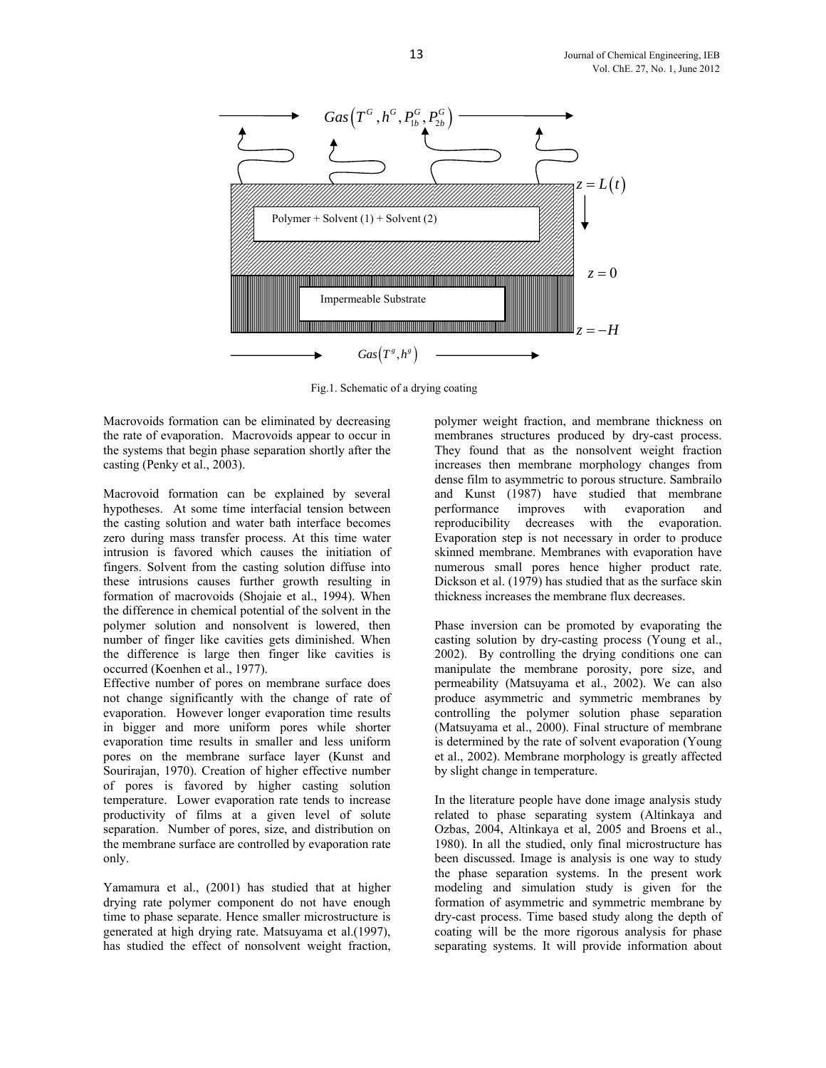

Fig.1. Schematic of a drying coating

Macrovoids formation can be eliminated by decreasing the rate of evaporation. Macrovoids appear to occur in the systems that begin phase separation shortly after the casting (Penky et al., 2003).

Macrovoid formation can be explained by several hypotheses. At some time interfacial tension between the casting solution and water bath interface becomes zero during mass transfer process. At this time water intrusion is favored which causes the initiation of fingers. Solvent from the casting solution diffuse into these intrusions causes further growth resulting in formation of macrovoids (Shojaie et al., 1994). When the difference in chemical potential of the solvent in the polymer solution and nonsolvent is lowered, then number of finger like cavities gets diminished. When the difference is large then finger like cavities is occurred (Koenhen et al., 1977).

Effective number of pores on membrane surface does not change significantly with the change of rate of evaporation. However longer evaporation time results in bigger and more uniform pores while shorter evaporation time results in smaller and less uniform pores on the membrane surface layer (Kunst and Sourirajan, 1970). Creation of higher effective number of pores is favored by higher casting solution temperature. Lower evaporation rate tends to increase productivity of films at a given level of solute separation. Number of pores, size, and distribution on the membrane surface are controlled by evaporation rate only.

Yamamura et al., (2001) has studied that at higher drying rate polymer component do not have enough time to phase separate. Hence smaller microstructure is generated at high drying rate. Matsuyama et al.(1997), has studied the effect of nonsolvent weight fraction,

polymer weight fraction, and membrane thickness on membranes structures produced by dry-cast process. They found that as the nonsolvent weight fraction increases then membrane morphology changes from dense film to asymmetric to porous structure. Sambrailo and Kunst (1987) have studied that membrane performance improves with evaporation and reproducibility decreases with the evaporation. Evaporation step is not necessary in order to produce skinned membrane. Membranes with evaporation have numerous small pores hence higher product rate. Dickson et al. (1979) has studied that as the surface skin thickness increases the membrane flux decreases.

Phase inversion can be promoted by evaporating the casting solution by dry-casting process (Young et al., 2002). By controlling the drying conditions one can manipulate the membrane porosity, pore size, and permeability (Matsuyama et al., 2002). We can also produce asymmetric and symmetric membranes by controlling the polymer solution phase separation (Matsuyama et al., 2000). Final structure of membrane is determined by the rate of solvent evaporation (Young et al., 2002). Membrane morphology is greatly affected by slight change in temperature.

In the literature people have done image analysis study related to phase separating system (Altinkaya and Ozbas, 2004, Altinkaya et al, 2005 and Broens et al., 1980). In all the studied, only final microstructure has been discussed. Image is analysis is one way to study the phase separation systems. In the present work modeling and simulation study is given for the formation of asymmetric and symmetric membrane by dry-cast process. Time based study along the depth of coating will be the more rigorous analysis for phase separating systems. It will provide information about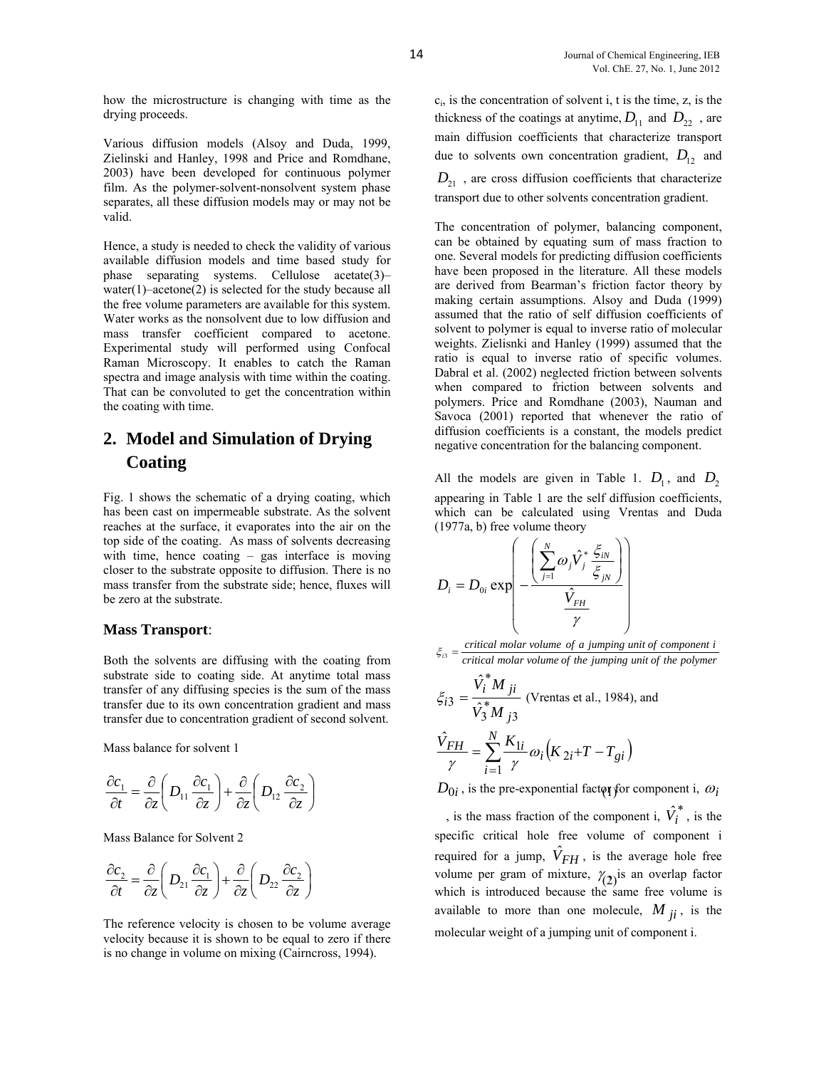how the microstructure is changing with time as the drying proceeds.

Various diffusion models (Alsoy and Duda, 1999, Zielinski and Hanley, 1998 and Price and Romdhane, 2003) have been developed for continuous polymer film. As the polymer-solvent-nonsolvent system phase separates, all these diffusion models may or may not be valid.

Hence, a study is needed to check the validity of various available diffusion models and time based study for phase separating systems. Cellulose acetate(3)– water(1)–acetone(2) is selected for the study because all the free volume parameters are available for this system. Water works as the nonsolvent due to low diffusion and mass transfer coefficient compared to acetone. Experimental study will performed using Confocal Raman Microscopy. It enables to catch the Raman spectra and image analysis with time within the coating. That can be convoluted to get the concentration within the coating with time.

# **2. Model and Simulation of Drying Coating**

Fig. 1 shows the schematic of a drying coating, which has been cast on impermeable substrate. As the solvent reaches at the surface, it evaporates into the air on the top side of the coating. As mass of solvents decreasing with time, hence coating – gas interface is moving closer to the substrate opposite to diffusion. There is no mass transfer from the substrate side; hence, fluxes will be zero at the substrate.

#### **Mass Transport**:

Both the solvents are diffusing with the coating from substrate side to coating side. At anytime total mass transfer of any diffusing species is the sum of the mass transfer due to its own concentration gradient and mass transfer due to concentration gradient of second solvent.

Mass balance for solvent 1

$$
\frac{\partial c_1}{\partial t} = \frac{\partial}{\partial z} \left( D_{11} \frac{\partial c_1}{\partial z} \right) + \frac{\partial}{\partial z} \left( D_{12} \frac{\partial c_2}{\partial z} \right)
$$

Mass Balance for Solvent 2

$$
\frac{\partial c_2}{\partial t} = \frac{\partial}{\partial z} \left( D_{21} \frac{\partial c_1}{\partial z} \right) + \frac{\partial}{\partial z} \left( D_{22} \frac{\partial c_2}{\partial z} \right)
$$

The reference velocity is chosen to be volume average velocity because it is shown to be equal to zero if there is no change in volume on mixing (Cairncross, 1994).

 $c_i$ , is the concentration of solvent i, t is the time, z, is the thickness of the coatings at anytime,  $D_{11}$  and  $D_{22}$ , are main diffusion coefficients that characterize transport due to solvents own concentration gradient,  $D_{12}$  and

 $D_{21}$ , are cross diffusion coefficients that characterize transport due to other solvents concentration gradient.

The concentration of polymer, balancing component, can be obtained by equating sum of mass fraction to one. Several models for predicting diffusion coefficients have been proposed in the literature. All these models are derived from Bearman's friction factor theory by making certain assumptions. Alsoy and Duda (1999) assumed that the ratio of self diffusion coefficients of solvent to polymer is equal to inverse ratio of molecular weights. Zielisnki and Hanley (1999) assumed that the ratio is equal to inverse ratio of specific volumes. Dabral et al. (2002) neglected friction between solvents when compared to friction between solvents and polymers. Price and Romdhane (2003), Nauman and Savoca (2001) reported that whenever the ratio of diffusion coefficients is a constant, the models predict negative concentration for the balancing component.

All the models are given in Table 1.  $D_1$ , and  $D_2$ appearing in Table 1 are the self diffusion coefficients, which can be calculated using Vrentas and Duda (1977a, b) free volume theory

$$
D_i = D_{0i} \exp\left(-\frac{\left(\sum_{j=1}^N \omega_j \hat{V}_j^* \frac{\xi_{iN}}{\xi_{jN}}\right)}{\hat{V}_{FH}}\right)
$$

$$
\xi_{i3} = \frac{critical \, molar \, volume \, of \, a \, jumping \, unit \, of \, component \, i}{critical \, molar \, volume \, of \, the \, jumping \, unit \, of \, the \, polymer}
$$

$$
\xi_{i3} = \frac{\hat{V}_i^* M_{ji}}{\hat{V}_3^* M_{j3}}
$$
 (Vrentas et al., 1984), and  

$$
\frac{\hat{V}_{FH}}{\gamma} = \sum_{i=1}^N \frac{K_{1i}}{\gamma} \omega_i (K_{2i} + T - T_{gi})
$$

 $\frac{D_1}{D_1} = \frac{C}{2} \left( D_{11} \frac{C C_1}{C_1} \right) + \frac{C}{2} \left( D_{12} \frac{C C_2}{C_1} \right)$   $D_{0i}$ , is the pre-exponential factor for component i,  $\omega_i$ 

 $\frac{\partial c_2}{\partial t} = \frac{\partial}{\partial z} \left( D_{21} \frac{\partial c_1}{\partial z} \right) + \frac{\partial}{\partial z} \left( D_{22} \frac{\partial c_2}{\partial z} \right)$  volume per gram of mixture,  $\gamma_{(2)}$  is an overlap factor which is introduced because the same free volume is , is the mass fraction of the component i,  $\hat{V}_i^*$ , is the specific critical hole free volume of component i required for a jump,  $\hat{V}_{FH}$ , is the average hole free which is introduced because the same free volume is available to more than one molecule,  $M_{ii}$ , is the molecular weight of a jumping unit of component i.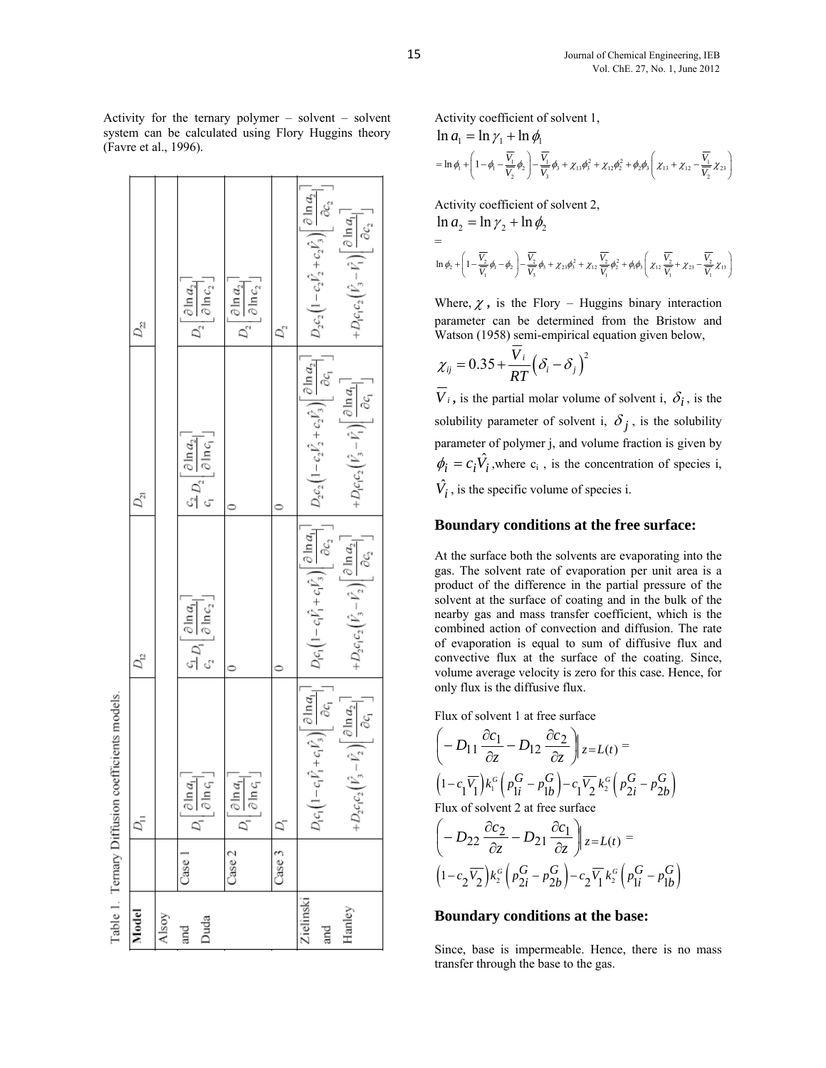$\sum_{2}^{3}+c_{2}\hat{V}_{3}\bigg)\bigg[\frac{\partial\ln a_{2}}{\partial c_{2}}\bigg]$  $\partial$  ln  $a_{1}$  $\begin{bmatrix} \frac{\partial \ln a_2}{\partial \ln c_2} \end{bmatrix}$  $\partial$  ln  $a_2$  $\partial \ln c_2^{\perp}$  $D_1c_1c_2$ [  $D_{\underline{v}}$  $D_2$  $D_2$ D,  $\sum_{2}^{5}+c_{2}\hat{V}_{3}\bigg)\bigg[\frac{\partial\ln a_{2}}{\partial c_{1}}\bigg]$  $\partial \ln a_1$  $\left[\frac{\partial \ln a_2}{\partial \ln c_1}\right]$  $+D_1c_1c_2$  $\begin{array}{c} \frac{C_2}{C_1}D_2 \end{array}$  $D_{21}$ 5 5  $\hat{C}_1 + c_1 \hat{F}_3 \left| \frac{\partial \ln a_1}{\partial c_2} \right|$ дc,  $\partial$  ln  $a_{2}$  $\overline{\partial \ln c_2}$  $\partial \ln a_1$  $+D_{2}c_{1}c_{2}$  $\frac{\mathcal{L}_1}{\mathcal{L}_2} D_1$  $D_1c_1$  $D_{12}^{\circ}$  $\overline{\phantom{0}}$  $\overline{\phantom{0}}$  $\hat{V}_1 + c_1 \hat{V}_3 \bigg) \begin{bmatrix} \frac{\partial \ln a_1}{\partial c_1} \end{bmatrix}$ Table 1. Ternary Diffusion coefficients models.  $\partial$  ln  $a_2$  $\partial \ln c_1$  $D_2c_1c_2$   $|V_3$  $\frac{\partial \ln a_1}{\partial \ln c_1}$  $\partial \ln a_1$  $\vec{D}_{\rm II}$ D,  $\overline{C_1}$ D,  $\sim$  $\overline{r}$ Case Case Case Zielinski Hanley Model Alsoy Duda and and

Activity for the ternary polymer – solvent – solvent system can be calculated using Flory Huggins theory (Favre et al., 1996).

Activity coefficient of solvent 1,  $\ln a = \ln \gamma + \ln \phi$ 

$$
= \ln \phi_1 + \left(1 - \phi_1 - \frac{\overline{V_1}}{\overline{V_2}}\phi_2\right) - \frac{\overline{V_1}}{\overline{V_3}}\phi_3 + \chi_{13}\phi_3^2 + \chi_{12}\phi_2^2 + \phi_2\phi_3\left(\chi_{13} + \chi_{12} - \frac{\overline{V_1}}{\overline{V_2}}\chi_{23}\right)
$$

Activity coefficient of solvent 2,

$$
\ln a_2 = \ln \gamma_2 + \ln \phi_2
$$
  
=  

$$
\ln \phi_2 + \left(1 - \frac{\overline{V_2}}{\overline{V_1}}\phi_1 - \phi_2\right) - \frac{\overline{V_2}}{\overline{V_3}}\phi_3 + \chi_{23}\phi_3^2 + \chi_{12}\frac{\overline{V_2}}{\overline{V_1}}\phi_2^2 + \phi_1\phi_3\left(\chi_{12}\frac{\overline{V_2}}{\overline{V_1}} + \chi_{23} - \frac{\overline{V_2}}{\overline{V_1}}\chi_{13}\right)
$$

Where,  $\chi$ , is the Flory – Huggins binary interaction parameter can be determined from the Bristow and Watson (1958) semi-empirical equation given below,

$$
\chi_{ij} = 0.35 + \frac{V_i}{RT} (\delta_i - \delta_j)^2
$$

 $\overline{V}_i$ , is the partial molar volume of solvent i,  $\delta_i$ , is the solubility parameter of solvent i,  $\delta_j$ , is the solubility parameter of polymer j, and volume fraction is given by  $\phi_i = c_i \hat{V}_i$ , where  $c_i$ , is the concentration of species i,  $\hat{V}_i$ , is the specific volume of species i.

#### **Boundary conditions at the free surface:**

At the surface both the solvents are evaporating into the gas. The solvent rate of evaporation per unit area is a product of the difference in the partial pressure of the solvent at the surface of coating and in the bulk of the nearby gas and mass transfer coefficient, which is the combined action of convection and diffusion. The rate of evaporation is equal to sum of diffusive flux and convective flux at the surface of the coating. Since, volume average velocity is zero for this case. Hence, for only flux is the diffusive flux.

Flux of solvent 1 at free surface

$$
\left(-D_{11}\frac{\partial c_1}{\partial z} - D_{12}\frac{\partial c_2}{\partial z}\right)_{z=L(t)} =
$$
\n
$$
\left(1 - c_1\overline{V_1}\right)k_i^G\left(p_{1i}^G - p_{1b}^G\right) - c_1\overline{V_2}k_2^G\left(p_{2i}^G - p_{2b}^G\right)
$$
\nFlux of solvent 2 at free surface

$$
\left(-D_{22}\frac{\partial c_2}{\partial z} - D_{21}\frac{\partial c_1}{\partial z}\right)|z=L(t)| =
$$
\n
$$
\left(1 - c_2\overline{V_2}\right)k_2^G\left(p_{2i}^G - p_{2b}^G\right) - c_2\overline{V_1}k_2^G\left(p_{1i}^G - p_{1b}^G\right)
$$

#### **Boundary conditions at the base:**

Since, base is impermeable. Hence, there is no mass transfer through the base to the gas.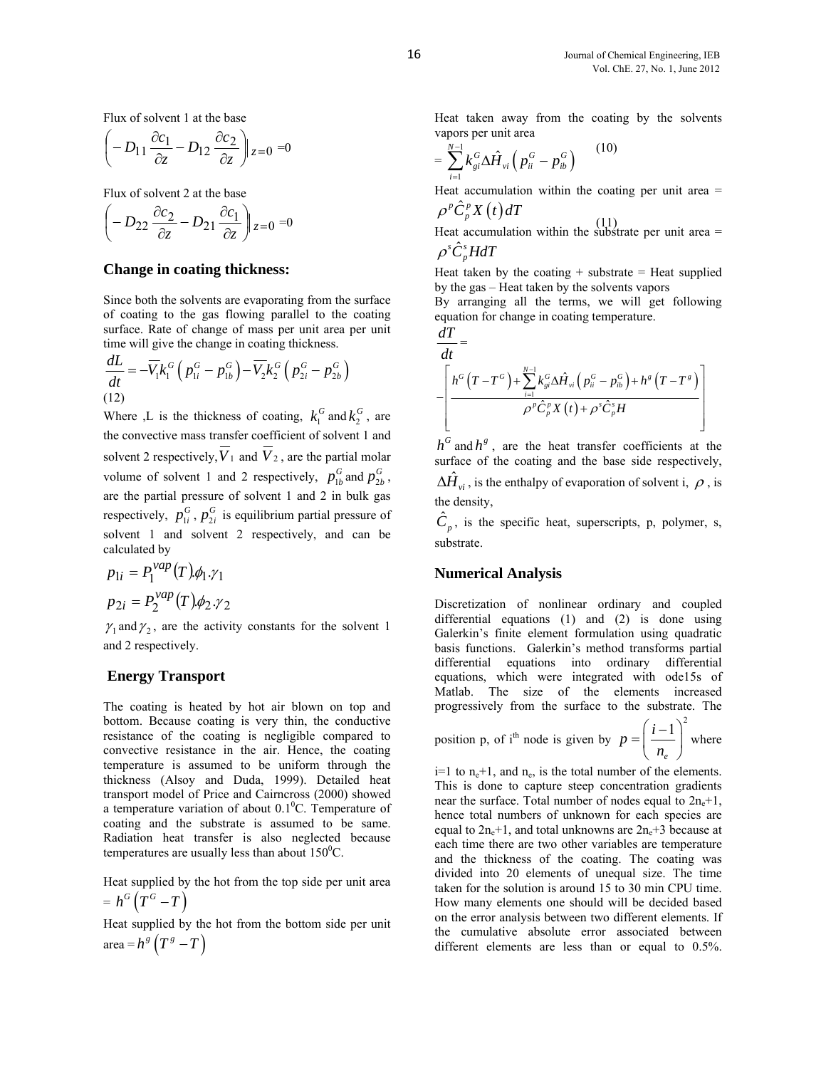Flux of solvent 1 at the base

$$
\left(-D_{11}\frac{\partial c_1}{\partial z} - D_{12}\frac{\partial c_2}{\partial z}\right)|_{z=0} = 0
$$
\nvapor per unit area  
\n
$$
= \sum_{n=1}^{N-1} k_{gi}^G \Delta \hat{H}_{vi} \left(p_{ii}^G - p_{ib}^G\right)
$$
\n(10)

Flux of solvent 2 at the base

$$
\left(-D_{22}\frac{\partial c_2}{\partial z} - D_{21}\frac{\partial c_1}{\partial z}\right)_{z=0} = 0
$$
\n
$$
\rho^p C_p^p X(t) dT
$$
\nHeat accumulation within the substrate per unit area =

#### **Change in coating thickness:**

Since both the solvents are evaporating from the surface of coating to the gas flowing parallel to the coating surface. Rate of change of mass per unit area per unit time will give the change in coating thickness.

$$
\frac{dL}{dt} = -\overline{V}_1 k_1^G \left( p_{1i}^G - p_{1b}^G \right) - \overline{V}_2 k_2^G \left( p_{2i}^G - p_{2b}^G \right)
$$
\n(12)

Where ,L is the thickness of coating,  $k_1^G$  and  $k_2^G$ , are the convective mass transfer coefficient of solvent 1 and solvent 2 respectively,  $\overline{V}_1$  and  $\overline{V}_2$ , are the partial molar volume of solvent 1 and 2 respectively,  $p_{1b}^G$  and  $p_{2b}^G$ , are the partial pressure of solvent 1 and 2 in bulk gas respectively,  $p_{1i}^G$ ,  $p_{2i}^G$  is equilibrium partial pressure of solvent 1 and solvent 2 respectively, and can be calculated by

$$
p_{1i} = P_1^{vap}(T)\phi_1.\gamma_1
$$
  

$$
p_{2i} = P_2^{vap}(T)\phi_2.\gamma_2
$$

 $\gamma_1$  and  $\gamma_2$ , are the activity constants for the solvent 1 and 2 respectively.

## **Energy Transport**

The coating is heated by hot air blown on top and bottom. Because coating is very thin, the conductive resistance of the coating is negligible compared to convective resistance in the air. Hence, the coating temperature is assumed to be uniform through the thickness (Alsoy and Duda, 1999). Detailed heat transport model of Price and Cairncross (2000) showed a temperature variation of about  $0.1\textsuperscript{0}$ C. Temperature of coating and the substrate is assumed to be same. Radiation heat transfer is also neglected because temperatures are usually less than about  $150^{\circ}$ C.

Heat supplied by the hot from the top side per unit area  $= h^G(T^G - T)$ 

Heat supplied by the hot from the bottom side per unit area =  $h^{g} (T^{g} - T)$ 

Heat taken away from the coating by the solvents vapors per unit area

$$
=\sum_{i=1}^{N-1}k_{gi}^{G}\Delta\hat{H}_{vi}\left(p_{ii}^{G}-p_{ib}^{G}\right)
$$

Heat accumulation within the coating per unit area  $=$  $\rho^p \hat{C}_p^p X(t) dT$ 

 $\rho^s \hat{C}_n^s H dT$ 

Heat taken by the coating  $+$  substrate  $=$  Heat supplied by the gas – Heat taken by the solvents vapors By arranging all the terms, we will get following

equation for change in coating temperature. *dT*

$$
\frac{dI}{dt} = \left[\frac{h^G(T - T^G) + \sum_{i=1}^{N-1} k_{gi}^G \Delta \hat{H}_{vi} \left(p_{ii}^G - p_{ib}^G\right) + h^g(T - T^g)}{\rho^p \hat{C}_p^p X(t) + \rho^s \hat{C}_p^s H}\right]
$$

 $h^G$  and  $h^g$ , are the heat transfer coefficients at the surface of the coating and the base side respectively,  $\Delta \hat{H}_{vi}$ , is the enthalpy of evaporation of solvent i,  $\rho$ , is

the density,

 $\hat{C}_p$ , is the specific heat, superscripts, p, polymer, s, substrate.

## **Numerical Analysis**

Discretization of nonlinear ordinary and coupled differential equations (1) and (2) is done using Galerkin's finite element formulation using quadratic basis functions. Galerkin's method transforms partial differential equations into ordinary differential equations, which were integrated with ode15s of Matlab. The size of the elements increased progressively from the surface to the substrate. The

position p, of i<sup>th</sup> node is given by 
$$
p = \left(\frac{i-1}{n_e}\right)^2
$$
 where

 $i=1$  to  $n_e+1$ , and  $n_e$ , is the total number of the elements. This is done to capture steep concentration gradients near the surface. Total number of nodes equal to  $2n_e+1$ , hence total numbers of unknown for each species are equal to  $2n_e+1$ , and total unknowns are  $2n_e+3$  because at each time there are two other variables are temperature and the thickness of the coating. The coating was divided into 20 elements of unequal size. The time taken for the solution is around 15 to 30 min CPU time. How many elements one should will be decided based on the error analysis between two different elements. If the cumulative absolute error associated between different elements are less than or equal to 0.5%.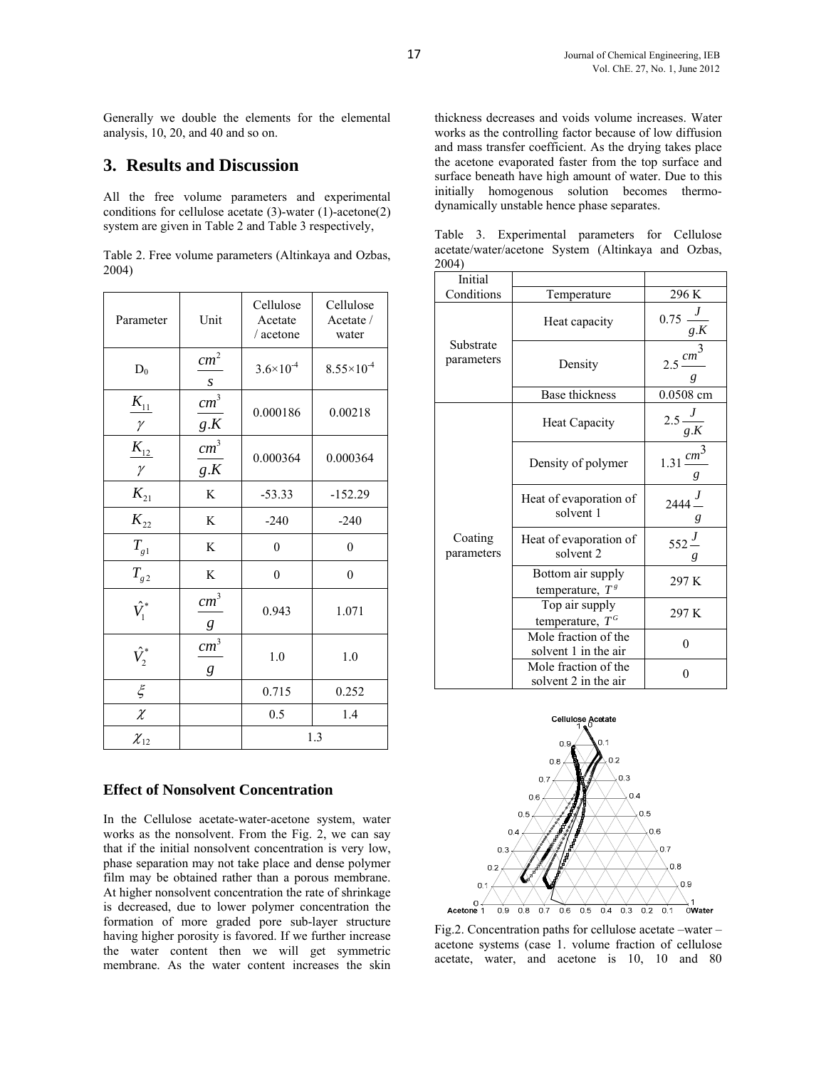Generally we double the elements for the elemental analysis, 10, 20, and 40 and so on.

## **3. Results and Discussion**

All the free volume parameters and experimental conditions for cellulose acetate (3)-water (1)-acetone(2) system are given in Table 2 and Table 3 respectively,

|       | Table 2. Free volume parameters (Altinkaya and Ozbas, |  |  |
|-------|-------------------------------------------------------|--|--|
| 2004) |                                                       |  |  |

| Parameter                | Unit                   | Cellulose<br>Acetate<br>/ acetone | Cellulose<br>Acetate /<br>water |
|--------------------------|------------------------|-----------------------------------|---------------------------------|
| $D_0$                    | cm <sup>2</sup><br>S   | $3.6 \times 10^{-4}$              | $8.55 \times 10^{-4}$           |
| $K_{11}$<br>$\gamma$     | cm <sup>3</sup><br>g.K | 0.000186                          | 0.00218                         |
| $\frac{K_{12}}{\gamma}$  | cm <sup>3</sup><br>g.K | 0.000364                          | 0.000364                        |
| $K_{21}$                 | K                      | $-53.33$                          | $-152.29$                       |
| $K_{22}$                 | K                      | $-240$                            | $-240$                          |
| $T_{\rm gl}$             | K                      | $\overline{0}$                    | $\mathbf{0}$                    |
| $T_{g2}$                 | K                      | $\theta$                          | $\mathbf{0}$                    |
| $\hat{V}_1^*$            | cm <sup>3</sup><br>g   | 0.943                             | 1.071                           |
| $\hat{V}_2^*$            | $\, cm^{3}$<br>g       | 1.0                               | 1.0                             |
| $\xi$                    |                        | 0.715                             | 0.252                           |
| $\overline{\mathcal{X}}$ |                        | 0.5                               | 1.4                             |
| $\chi_{12}$              |                        | 1.3                               |                                 |

## **Effect of Nonsolvent Concentration**

In the Cellulose acetate-water-acetone system, water works as the nonsolvent. From the Fig. 2, we can say that if the initial nonsolvent concentration is very low, phase separation may not take place and dense polymer film may be obtained rather than a porous membrane. At higher nonsolvent concentration the rate of shrinkage is decreased, due to lower polymer concentration the formation of more graded pore sub-layer structure having higher porosity is favored. If we further increase the water content then we will get symmetric membrane. As the water content increases the skin thickness decreases and voids volume increases. Water works as the controlling factor because of low diffusion and mass transfer coefficient. As the drying takes place the acetone evaporated faster from the top surface and surface beneath have high amount of water. Due to this initially homogenous solution becomes thermodynamically unstable hence phase separates.

| ZUU4 J                  |                                                |                            |
|-------------------------|------------------------------------------------|----------------------------|
| Initial                 |                                                |                            |
| Conditions              | Temperature                                    | 296 K                      |
|                         | Heat capacity                                  | $0.75 \frac{J}{g.K}$       |
| Substrate<br>parameters | Density                                        | $2.5 \frac{cm^3}{ }$<br>g  |
|                         | Base thickness                                 | 0.0508 cm                  |
|                         | <b>Heat Capacity</b>                           | $2.5\frac{J}{g.K}$         |
|                         | Density of polymer                             | $1.31 \frac{cm^3}{m}$<br>g |
|                         | Heat of evaporation of<br>solvent 1            | $2444 -$<br>g              |
| Coating<br>parameters   | Heat of evaporation of<br>solvent <sub>2</sub> | $552\frac{J}{ }$<br>g      |
|                         | Bottom air supply<br>temperature, $T^s$        | 297 K                      |
|                         | Top air supply<br>temperature, $T^G$           | 297 K                      |
|                         | Mole fraction of the<br>solvent 1 in the air   | $\theta$                   |
|                         | Mole fraction of the<br>solvent 2 in the air   | $\theta$                   |

Table 3. Experimental parameters for Cellulose acetate/water/acetone System (Altinkaya and Ozbas,  $2004$ 



Fig.2. Concentration paths for cellulose acetate –water – acetone systems (case 1. volume fraction of cellulose acetate, water, and acetone is 10, 10 and 80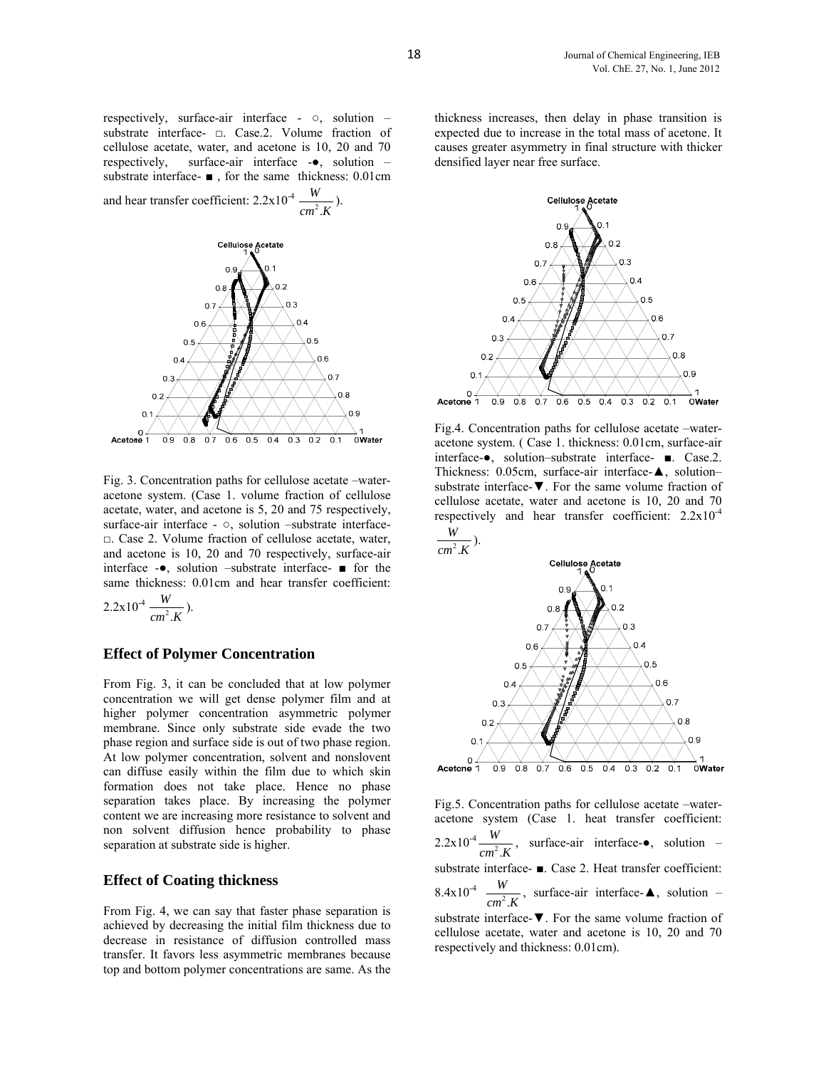respectively, surface-air interface - ○, solution – substrate interface- □. Case.2. Volume fraction of cellulose acetate, water, and acetone is 10, 20 and 70 respectively, surface-air interface -●, solution – substrate interface- ■ , for the same thickness: 0.01cm

and hear transfer coefficient:  $2.2 \times 10^{-4} \frac{W}{cm^2}$ .  $\frac{W}{cm^2.K}$ ).



Acetone 1  $0.9$  $0.8$  $0.7$  $0.6$  $0.5$  $04$  $0.3$  $0.2$  $0<sup>1</sup>$ OWater

Fig. 3. Concentration paths for cellulose acetate –wateracetone system. (Case 1. volume fraction of cellulose acetate, water, and acetone is 5, 20 and 75 respectively, surface-air interface -  $\circ$ , solution –substrate interface-□. Case 2. Volume fraction of cellulose acetate, water, and acetone is 10, 20 and 70 respectively, surface-air interface -●, solution –substrate interface- ■ for the same thickness: 0.01cm and hear transfer coefficient:

 $2.2 \times 10^{-4} \frac{W}{cm^2}$ .  $\frac{W}{cm^2.K}$ ).

#### **Effect of Polymer Concentration**

From Fig. 3, it can be concluded that at low polymer concentration we will get dense polymer film and at higher polymer concentration asymmetric polymer membrane. Since only substrate side evade the two phase region and surface side is out of two phase region. At low polymer concentration, solvent and nonslovent can diffuse easily within the film due to which skin formation does not take place. Hence no phase separation takes place. By increasing the polymer content we are increasing more resistance to solvent and non solvent diffusion hence probability to phase separation at substrate side is higher.

#### **Effect of Coating thickness**

From Fig. 4, we can say that faster phase separation is achieved by decreasing the initial film thickness due to decrease in resistance of diffusion controlled mass transfer. It favors less asymmetric membranes because top and bottom polymer concentrations are same. As the

thickness increases, then delay in phase transition is expected due to increase in the total mass of acetone. It causes greater asymmetry in final structure with thicker densified layer near free surface.



Fig.4. Concentration paths for cellulose acetate –wateracetone system. ( Case 1. thickness: 0.01cm, surface-air interface-●, solution–substrate interface- ■. Case.2. Thickness: 0.05cm, surface-air interface-▲, solution– substrate interface-▼. For the same volume fraction of cellulose acetate, water and acetone is 10, 20 and 70 respectively and hear transfer coefficient:  $2.2 \times 10^{-4}$ 



Fig.5. Concentration paths for cellulose acetate –wateracetone system (Case 1. heat transfer coefficient:  $2.2 \times 10^{-4} \frac{W}{cm^2}$ .  $\frac{W}{cm^2 \cdot K}$ , surface-air interface- $\bullet$ , solution – substrate interface- ■. Case 2. Heat transfer coefficient:  $8.4 \times 10^{-4} \frac{W}{cm^2}$ .  $\frac{W}{cm^2 \cdot K}$ , surface-air interface- $\blacktriangle$ , solution – substrate interface-▼. For the same volume fraction of cellulose acetate, water and acetone is 10, 20 and 70 respectively and thickness: 0.01cm).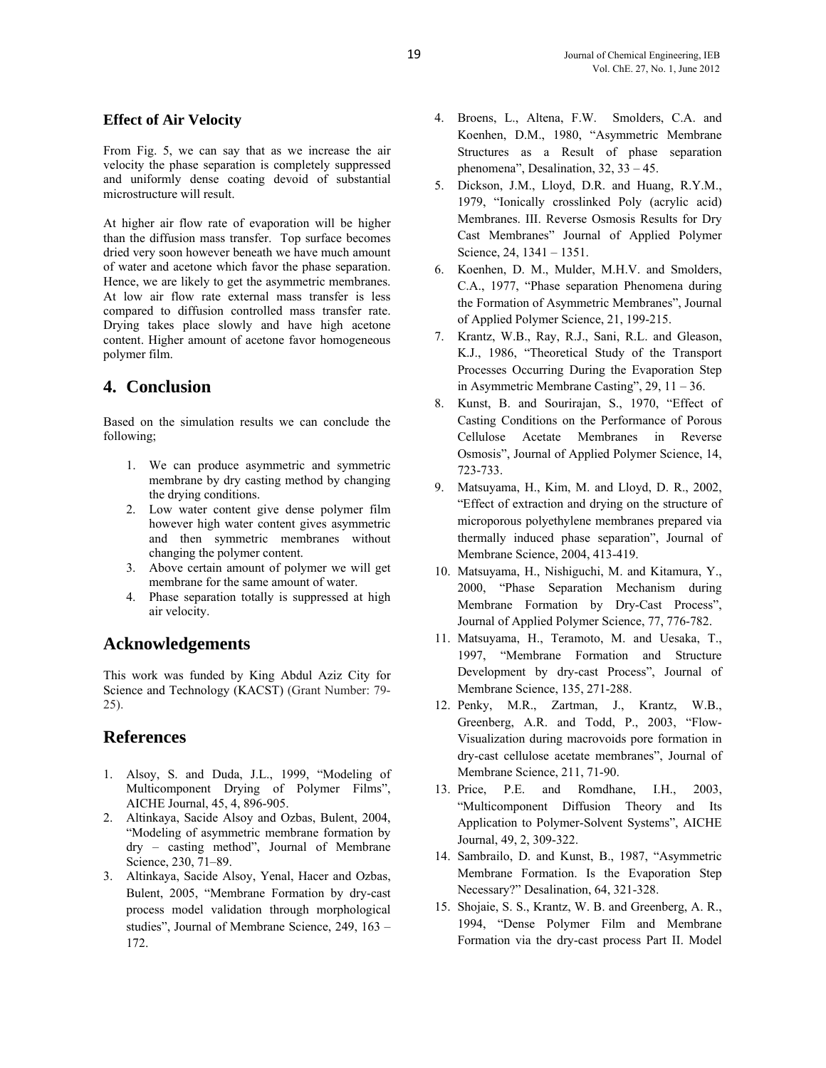## **Effect of Air Velocity**

From Fig. 5, we can say that as we increase the air velocity the phase separation is completely suppressed and uniformly dense coating devoid of substantial microstructure will result.

At higher air flow rate of evaporation will be higher than the diffusion mass transfer. Top surface becomes dried very soon however beneath we have much amount of water and acetone which favor the phase separation. Hence, we are likely to get the asymmetric membranes. At low air flow rate external mass transfer is less compared to diffusion controlled mass transfer rate. Drying takes place slowly and have high acetone content. Higher amount of acetone favor homogeneous polymer film.

# **4. Conclusion**

Based on the simulation results we can conclude the following;

- 1. We can produce asymmetric and symmetric membrane by dry casting method by changing the drying conditions.
- 2. Low water content give dense polymer film however high water content gives asymmetric and then symmetric membranes without changing the polymer content.
- 3. Above certain amount of polymer we will get membrane for the same amount of water.
- 4. Phase separation totally is suppressed at high air velocity.

# **Acknowledgements**

This work was funded by King Abdul Aziz City for Science and Technology (KACST) (Grant Number: 79- 25).

# **References**

- 1. Alsoy, S. and Duda, J.L., 1999, "Modeling of Multicomponent Drying of Polymer Films", AICHE Journal, 45, 4, 896-905.
- 2. Altinkaya, Sacide Alsoy and Ozbas, Bulent, 2004, "Modeling of asymmetric membrane formation by dry – casting method", Journal of Membrane Science, 230, 71–89.
- 3. Altinkaya, Sacide Alsoy, Yenal, Hacer and Ozbas, Bulent, 2005, "Membrane Formation by dry-cast process model validation through morphological studies", Journal of Membrane Science, 249, 163 – 172.
- 4. Broens, L., Altena, F.W. Smolders, C.A. and Koenhen, D.M., 1980, "Asymmetric Membrane Structures as a Result of phase separation phenomena", Desalination, 32, 33 – 45.
- 5. Dickson, J.M., Lloyd, D.R. and Huang, R.Y.M., 1979, "Ionically crosslinked Poly (acrylic acid) Membranes. III. Reverse Osmosis Results for Dry Cast Membranes" Journal of Applied Polymer Science, 24, 1341 – 1351.
- 6. Koenhen, D. M., Mulder, M.H.V. and Smolders, C.A., 1977, "Phase separation Phenomena during the Formation of Asymmetric Membranes", Journal of Applied Polymer Science, 21, 199-215.
- 7. Krantz, W.B., Ray, R.J., Sani, R.L. and Gleason, K.J., 1986, "Theoretical Study of the Transport Processes Occurring During the Evaporation Step in Asymmetric Membrane Casting", 29, 11 – 36.
- 8. Kunst, B. and Sourirajan, S., 1970, "Effect of Casting Conditions on the Performance of Porous Cellulose Acetate Membranes in Reverse Osmosis", Journal of Applied Polymer Science, 14, 723-733.
- 9. Matsuyama, H., Kim, M. and Lloyd, D. R., 2002, "Effect of extraction and drying on the structure of microporous polyethylene membranes prepared via thermally induced phase separation", Journal of Membrane Science, 2004, 413-419.
- 10. Matsuyama, H., Nishiguchi, M. and Kitamura, Y., 2000, "Phase Separation Mechanism during Membrane Formation by Dry-Cast Process", Journal of Applied Polymer Science, 77, 776-782.
- 11. Matsuyama, H., Teramoto, M. and Uesaka, T., 1997, "Membrane Formation and Structure Development by dry-cast Process", Journal of Membrane Science, 135, 271-288.
- 12. Penky, M.R., Zartman, J., Krantz, W.B., Greenberg, A.R. and Todd, P., 2003, "Flow-Visualization during macrovoids pore formation in dry-cast cellulose acetate membranes", Journal of Membrane Science, 211, 71-90.
- 13. Price, P.E. and Romdhane, I.H., 2003, "Multicomponent Diffusion Theory and Its Application to Polymer-Solvent Systems", AICHE Journal, 49, 2, 309-322.
- 14. Sambrailo, D. and Kunst, B., 1987, "Asymmetric Membrane Formation. Is the Evaporation Step Necessary?" Desalination, 64, 321-328.
- 15. Shojaie, S. S., Krantz, W. B. and Greenberg, A. R., 1994, "Dense Polymer Film and Membrane Formation via the dry-cast process Part II. Model